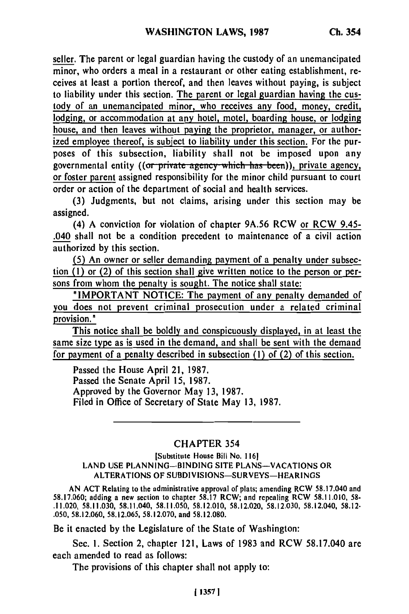seller. The parent or legal guardian having the custody of an unemancipated minor, who orders a meal in a restaurant or other eating establishment, receives at least a portion thereof, and then leaves without paying, is subject to liability under this section. The parent or legal guardian having the custody of an unemancipated minor, who receives any food, money, credit, lodging, or accommodation at any hotel, motel, boarding house, or lodging house, and then leaves without paying the proprietor, manager, or authorized employee thereof, is subject to liability under this section. For the purposes of this subsection, liability shall not be imposed upon any governmental entity ((or private agency which has been)), private agency, or foster parent assigned responsibility for the minor child pursuant to court order or action of the department of social and health services.

**(3)** Judgments, but not claims, arising under this section may be assigned.

(4) **A** conviction for violation of chapter **9A.56** RCW or RCW 9.45- .040 shall not be a condition precedent to maintenance of a civil action authorized **by** this section.

**(5)** An owner or seller demanding payment of a penalty under subsection **(1)** or (2) of this section shall give written notice to the person or persons from whom the penalty is sought. The notice shall state:

"IMPORTANT **NOTICE:** The payment of any penalty demanded of you does not prevent criminal prosecution under a related criminal provision."

This notice shall be boldly and conspicuously displayed, in at least the same size type as is used in the demand, **and** shall be sent with the demand for payment of a penalty described in subsection **(I)** of (2) of this section.

Passed the House April 21, **1987.** Passed the Senate April **15, 1987.** Approved **by** the Governor May **13, 1987.** Filed in Office of Secretary of State May **13, 1987.**

## CHAPTER 354

[Substitute House Bill No. **1161 LAND USE PLANNING-BINDING SITE PLANS-VACATIONS** OR **ALTERATIONS** OF **SUBDIVISIONS-SURVEYS-HEARINGS**

**AN ACT** Relating to the administrative approval of plats; amending RCW **58.17.040** and **58.17.040 and ACT Relating to the administrative approval of plats; amending RCW 58.17.040 and repealing RCW 58.11.010, 58-**.11.020, **58.11.030,** 58.11.040, **58.11.050, 58.12.010, 58.12.020, 58.12.030,** 58.12.040, **58.12- .050, 58.12.060, 58.12.065, 58.12.070,** and **58.12.080.**

Be it enacted **by** the Legislature of the State of Washington:

Sec. **1.** Section 2, chapter 121, Laws of **1983** and RCW **58.17.040** are each amended to read as follows:

The provisions of this chapter shall not apply to: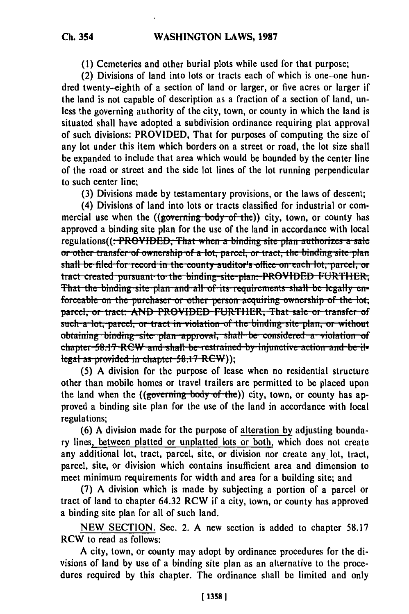(1) Cemeteries and other burial plots while used for that purpose;

(2) Divisions of land into lots or tracts each of which is one-one hundred twenty-eighth of a section of land or larger, or five acres or larger if the land is not capable of description as a fraction of a section of land, unless the governing authority of the city, town, or county in which the land is situated shall have adopted a subdivision ordinance requiring plat approval of such divisions: PROVIDED, That for purposes of computing the size of any lot under this item which borders on a street or road, the lot size shall be expanded to include that area which would be bounded by the center line of the road or street and the side lot lines of the lot running perpendicular to such center line;

(3) Divisions made by testamentary provisions, or the laws of descent:

(4) Divisions of land into lots or tracts classified for industrial or commercial use when the  $((\text{governing body-of-the}))$  city, town, or county has approved a binding site plan for the use of the land in accordance with local regulations((: PROVIDED, That when a binding site plan authorizes a sale or other transfer of ownership of a lot, parcel, or tract, the binding site plan shall be filed for record in the county auditor's office on each lot, parcel, or tract created pursuant to the binding site plan: PROVIDED FURTHER; That the binding site plan and all of its requirements shall be legally enforceable on the purchaser or other person acquiring ownership of the lot. parcel, or tract: AND PROVIDED FURTHER, That sale or transfer of such a lot, parcel, or tract in violation of the binding site plan, or without obtaining binding site plan approval, shall be considered a violation of chapter 58.17 RCW and shall be restrained by injunctive action and be illegal as provided in chapter 58.17 RCW));

(5) A division for the purpose of lease when no residential structure other than mobile homes or travel trailers are permitted to be placed upon the land when the ((governing body of the)) city, town, or county has approved a binding site plan for the use of the land in accordance with local regulations;

(6) A division made for the purpose of alteration by adjusting boundary lines, between platted or unplatted lots or both, which does not create any additional lot, tract, parcel, site, or division nor create any lot, tract, parcel, site, or division which contains insufficient area and dimension to meet minimum requirements for width and area for a building site; and

(7) A division which is made by subjecting a portion of a parcel or tract of land to chapter 64.32 RCW if a city, town, or county has approved a binding site plan for all of such land.

NEW SECTION. Sec. 2. A new section is added to chapter 58.17 RCW to read as follows:

A city, town, or county may adopt by ordinance procedures for the divisions of land by use of a binding site plan as an alternative to the procedures required by this chapter. The ordinance shall be limited and only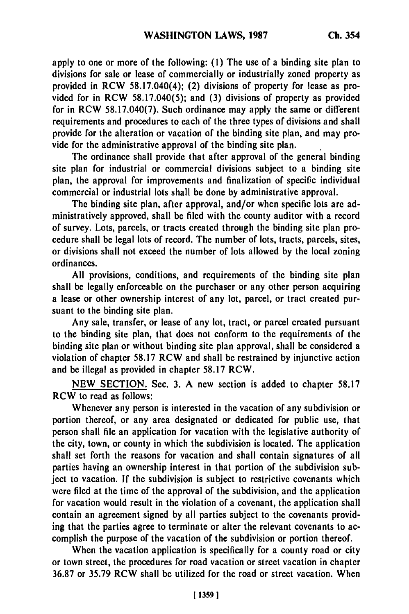apply to one or more of the following: **(1)** The use of a binding site plan to divisions for sale or lease of commercially or industrially zoned property as provided in RCW 58.17.040(4); (2) divisions of property for lease as provided for in RCW **58.17.040(5);** and **(3)** divisions of property as provided for in RCW **58.17.040(7).** Such ordinance may apply the same or different requirements and procedures to each of the three types of divisions and shall provide for the alteration or vacation of the binding site plan, and may provide for the administrative approval of the binding site plan.

The ordinance shall provide that after approval of the general binding site plan for industrial or commercial divisions subject to a binding site plan, the approval for improvements and finalization of specific individual commercial or industrial lots shall be done **by** administrative approval.

The binding site plan, after approval, and/or when specific lots are administratively approved, shall be filed with the county auditor with a record of survey. Lots, parcels, or tracts created through the binding site plan procedure shall be legal lots of record. The number of lots, tracts, parcels, sites, or divisions shall not exceed the number of lots allowed **by** the local zoning ordinances.

**All** provisions, conditions, and requirements of the binding site plan shall be legally enforceable on the purchaser or any other person acquiring a lease or other ownership interest of any lot, parcel, or tract created pursuant to the binding site plan.

Any sale, transfer, or lease of any lot, tract, or parcel created pursuant to the binding site plan, that does not conform to the requirements of the binding site plan or without binding site plan approval, shall be considered a violation of chapter **58.17** RCW and shall be restrained **by** injunctive action and be illegal as provided in chapter **58.17** RCW.

**NEW SECTION.** Sec. **3. A** new section is added to chapter **58.17** RCW to read as follows:

Whenever any person is interested in the vacation of any subdivision or portion thereof, or any area designated or dedicated for public use, that person shall file an application for vacation with the legislative authority of the city, town, or county in which the subdivision is located. The application shall set forth the reasons for vacation and shall contain signatures of all parties having an ownership interest in that portion of the subdivision subject to vacation. If the subdivision is subject to restrictive covenants which were filed at the time of the approval of the subdivision, and the application for vacation would result in the violation of a covenant, the application shall contain an agreement signed **by** all parties subject to the covenants providing that the parties agree to terminate or alter the relevant covenants to accomplish the purpose of the vacation of the subdivision or portion thereof.

When the vacation application is specifically for a county road or city or town street, the procedures for road vacation or street vacation in chapter **36.87** or **35.79** RCW shall be utilized for the road or street vacation. When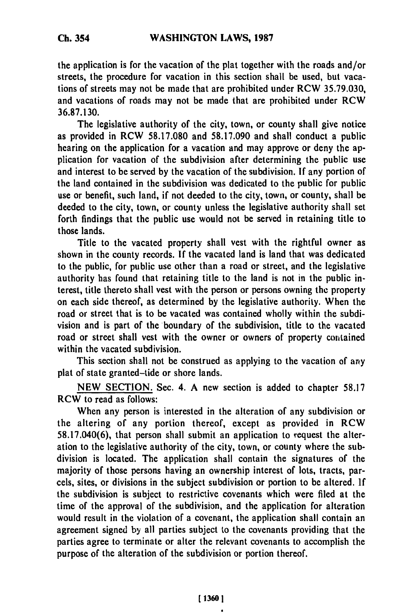**the** application is for the vacation of the plat together with the roads and/or streets, the procedure for vacation in this section shall be used, but vacations of streets may not be made that are prohibited under RCW **35.79.030,** and vacations of roads may not be made that are prohibited under RCW **36.87.130.**

The legislative authority of the city, town, or county shall give notice as provided in RCW **58.17.080** and **58.17.090** and shall conduct a public hearing on the application for a vacation and may approve or deny the application for vacation of the subdivision after determining the public use and interest to be served **by** the vacation of the subdivision. **If** any portion of the land contained in the subdivision was dedicated to the public for public use or benefit, such land, if not deeded to the city, town, or county, shall be deeded to the city, town, or county unless the legislative authority shall set forth findings that the public use would not be served in retaining title to those lands.

Title to the vacated property shall vest with the rightful owner as shown in the county records. **If** the vacated land is land that was dedicated to the public, for public use other than a road or street, and the legislative authority has found that retaining title to the land is not in the public interest, title thereto shall vest with the person or persons owning the property on each side thereof, as determined **by** the legislative authority. When the road or street that is to be vacated was contained wholly within the subdivision and is part of the boundary of the subdivision, title to the vacated road or street shall vest with the owner or owners of property contained within the vacated subdivision.

This section shall not be construed as applying to the vacation of any plat of state granted-tide or shore lands.

**NEW SECTION.** Sec. 4. A new section is added to chapter **58.17** RCW to read as follows:

When any person is interested in the alteration of any subdivision or the altering of any portion thereof, except as provided in RCW **58.17.040(6),** that person shall submit an application to request the alteration to the legislative authority of the city, town, or county where the subdivision is located. The application shall contain the signatures of the majority of those persons having an ownership interest of lots, tracts, parcels, sites, or divisions in the subject subdivision or portion to **be** altered. **If** the subdivision is subject to restrictive covenants which were filed at the time of the approval of the subdivision, and the application for alteration would result in the violation of a covenant, the application shall contain an agreement signed **by** all parties subject to the covenants providing that the parties agree to terminate or alter the relevant covenants to accomplish the purpose of the alteration of the subdivision or portion thereof.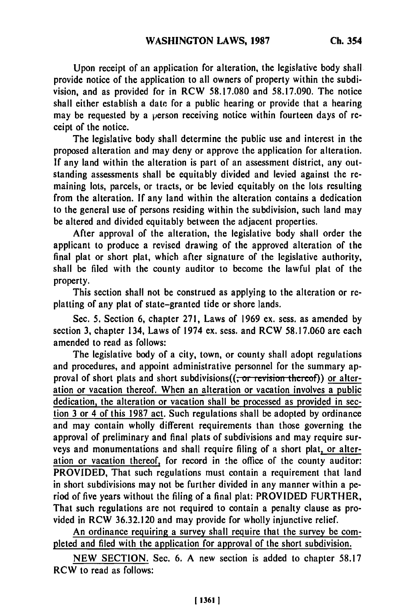Upon receipt of an application for alteration, the legislative body shall provide notice of the application to all owners of property within the subdivision, and as provided for in RCW 58.17.080 and 58.17.090. The notice shall either establish a date for a public hearing or provide that a hearing may be requested **by** a person receiving notice within fourteen days of receipt of the notice.

The legislative body shall determine the public use and interest in the proposed alteration and may deny or approve the application for alteration. **If** any land within the alteration is part of an assessment district, any outstanding assessments shall be equitably divided and levied against the remaining lots, parcels, or tracts, or be levied equitably on the lots resulting from the alteration. **If** any land within the alteration contains a dedication to the general use of persons residing within the subdivision, such land may be altered and divided equitably between the adjacent properties.

After approval of the alteration, the legislative body shall order the applicant to produce a revised drawing of the approved alteration of the final plat or short plat, which after signature of the legislative authority, shall be filed with the county auditor to become the lawful plat of the property.

This section shall not be construed as applying to the alteration or replatting of any plat of state-granted tide or shore lands.

Sec. **5.** Section **6,** chapter 271, Laws of 1969 **ex.** scss. as amended **by** section **3,** chapter 134, Laws of 1974 ex. sess. and RCW 58.17.060 are each amended to read as follows:

The legislative body of a city, town, or county shall adopt regulations and procedures, and appoint administrative personnel for the summary approval of short plats and short subdivisions((<del>, or revision thereof</del>)) or alteration or vacation thereof. When an alteration or vacation involves a public dedication, the alteration or vacation shall be processed as provided in section **3** or 4 of this 1987 act. Such regulations shall be adopted **by** ordinance and may contain wholly different requirements than those governing the approval of preliminary and final plats of subdivisions and may require surveys and monumentations and shall require filing of a short plat, or alteration or vacation thereof, for record in the office of the county auditor: PROVIDED, That such regulations must contain a requirement that land in short subdivisions may not be further divided in any manner within a **pe**riod of five years without the filing of a final plat: PROVIDED FURTHER, That such regulations are not required to contain a penalty clause as provided in RCW **36.32.120** and may provide for wholly injunctive relief.

An ordinance requiring a survey shall require that the survey be completed and filed with the application for approval of the short subdivision.

**NEW** SECTION. Sec. 6. A new section is added to chapter **58.17** RCW to read as follows: